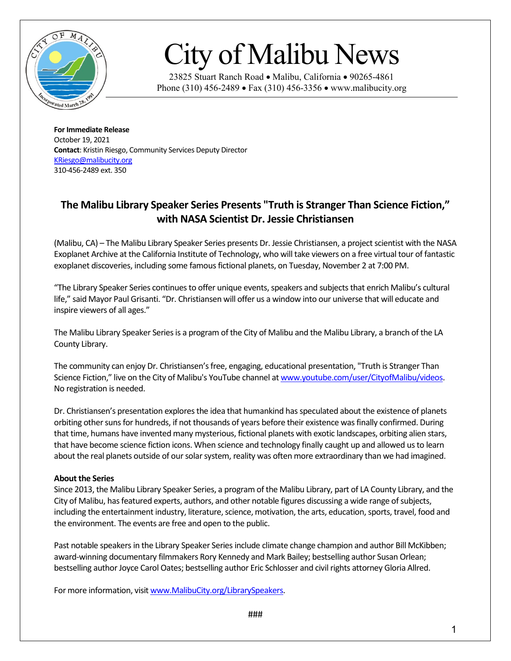

## City of Malibu News

23825 Stuart Ranch Road • Malibu, California • 90265-4861 Phone (310) 456-2489 • Fax (310) 456-3356 • www.malibucity.org

**For Immediate Release** October 19, 2021 **Contact**: Kristin Riesgo, Community Services Deputy Director [KRiesgo@malibucity.org](mailto:KRiesgo@malibucity.org) 310-456-2489 ext. 350

## **The Malibu Library Speaker Series Presents "Truth is Stranger Than Science Fiction," with NASA Scientist Dr. Jessie Christiansen**

(Malibu, CA) – The Malibu Library Speaker Series presents Dr. Jessie Christiansen, a project scientist with the NASA Exoplanet Archive at the California Institute of Technology, who will take viewers on a free virtual tour of fantastic exoplanet discoveries, including some famous fictional planets, on Tuesday, November 2 at 7:00 PM.

"The Library Speaker Series continues to offer unique events, speakers and subjects that enrich Malibu's cultural life," said Mayor Paul Grisanti. "Dr. Christiansen will offer us a window into our universe that will educate and inspire viewers of all ages."

The Malibu Library Speaker Series is a program of the City of Malibu and the Malibu Library, a branch of the LA County Library.

The community can enjoy Dr. Christiansen's free, engaging, educational presentation, "Truth is Stranger Than Science Fiction," live on the City of Malibu's YouTube channel a[t www.youtube.com/user/CityofMalibu/videos.](http://www.youtube.com/user/CityofMalibu/videos) No registration is needed.

Dr. Christiansen's presentation explores the idea that humankind has speculated about the existence of planets orbiting other suns for hundreds, if not thousands of years before their existence was finally confirmed. During that time, humans have invented many mysterious, fictional planets with exotic landscapes, orbiting alien stars, that have become science fiction icons. When science and technology finally caught up and allowed us to learn about the real planets outside of our solar system, reality was often more extraordinary than we had imagined.

## **About the Series**

Since 2013, the Malibu Library Speaker Series, a program of the Malibu Library, part of LA County Library, and the City of Malibu, has featured experts, authors, and other notable figures discussing a wide range of subjects, including the entertainment industry, literature, science, motivation, the arts, education, sports, travel, food and the environment. The events are free and open to the public.

Past notable speakers in the Library Speaker Series include climate change champion and author Bill McKibben; award-winning documentary filmmakers Rory Kennedy and Mark Bailey; bestselling author Susan Orlean; bestselling author Joyce Carol Oates; bestselling author Eric Schlosser and civil rights attorney Gloria Allred.

For more information, visit www.MalibuCity.org/LibrarySpeakers.